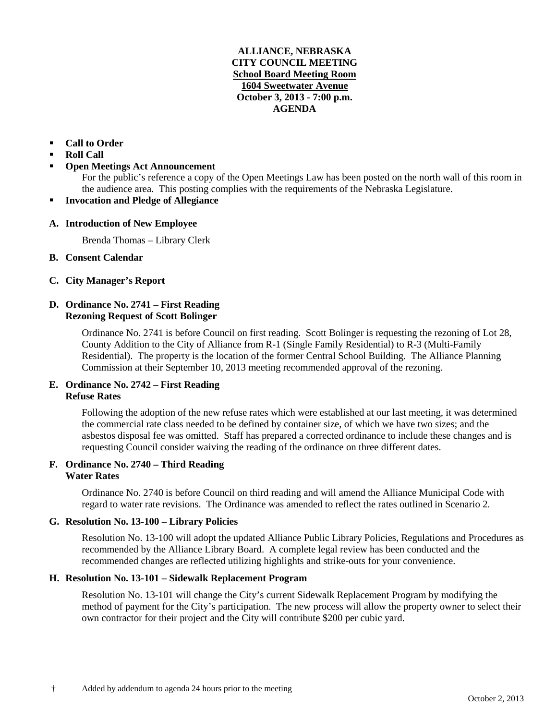## **ALLIANCE, NEBRASKA CITY COUNCIL MEETING School Board Meeting Room 1604 Sweetwater Avenue October 3, 2013 - 7:00 p.m. AGENDA**

# **Call to Order**

- **Roll Call**
- **Open Meetings Act Announcement**

For the public's reference a copy of the Open Meetings Law has been posted on the north wall of this room in the audience area. This posting complies with the requirements of the Nebraska Legislature.

**Invocation and Pledge of Allegiance**

## **A. Introduction of New Employee**

Brenda Thomas – Library Clerk

- **B. Consent Calendar**
- **C. City Manager's Report**

## **D. Ordinance No. 2741 – First Reading Rezoning Request of Scott Bolinger**

Ordinance No. 2741 is before Council on first reading. Scott Bolinger is requesting the rezoning of Lot 28, County Addition to the City of Alliance from R-1 (Single Family Residential) to R-3 (Multi-Family Residential). The property is the location of the former Central School Building. The Alliance Planning Commission at their September 10, 2013 meeting recommended approval of the rezoning.

# **E. Ordinance No. 2742 – First Reading Refuse Rates**

Following the adoption of the new refuse rates which were established at our last meeting, it was determined the commercial rate class needed to be defined by container size, of which we have two sizes; and the asbestos disposal fee was omitted. Staff has prepared a corrected ordinance to include these changes and is requesting Council consider waiving the reading of the ordinance on three different dates.

### **F. Ordinance No. 2740 – Third Reading Water Rates**

Ordinance No. 2740 is before Council on third reading and will amend the Alliance Municipal Code with regard to water rate revisions. The Ordinance was amended to reflect the rates outlined in Scenario 2.

# **G. Resolution No. 13-100 – Library Policies**

Resolution No. 13-100 will adopt the updated Alliance Public Library Policies, Regulations and Procedures as recommended by the Alliance Library Board. A complete legal review has been conducted and the recommended changes are reflected utilizing highlights and strike-outs for your convenience.

## **H. Resolution No. 13-101 – Sidewalk Replacement Program**

Resolution No. 13-101 will change the City's current Sidewalk Replacement Program by modifying the method of payment for the City's participation. The new process will allow the property owner to select their own contractor for their project and the City will contribute \$200 per cubic yard.